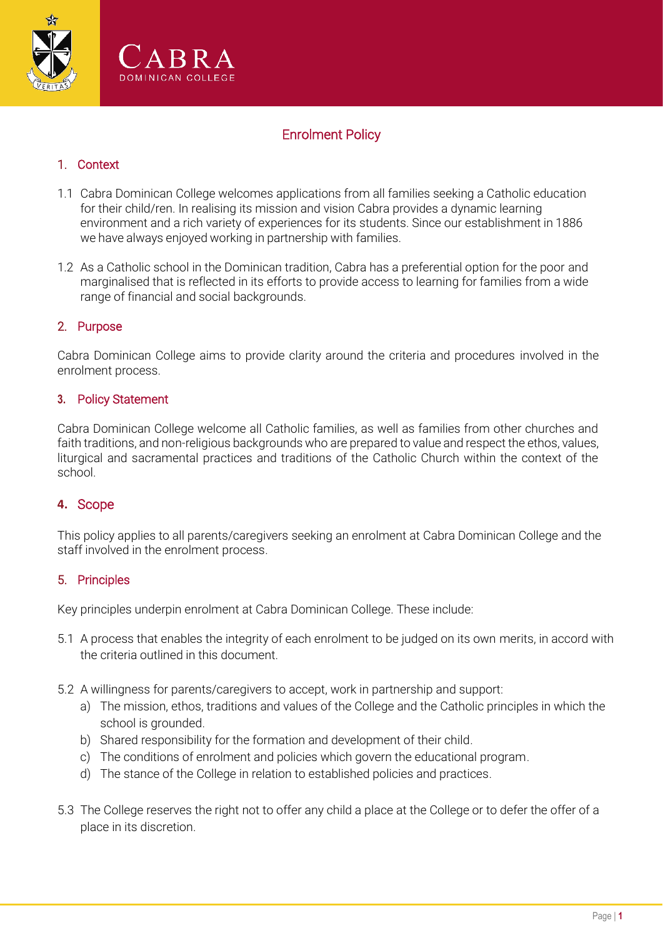



# Enrolment Policy

## 1. Context

- 1.1 Cabra Dominican College welcomes applications from all families seeking a Catholic education for their child/ren. In realising its mission and vision Cabra provides a dynamic learning environment and a rich variety of experiences for its students. Since our establishment in 1886 we have always enjoyed working in partnership with families.
- 1.2 As a Catholic school in the Dominican tradition, Cabra has a preferential option for the poor and marginalised that is reflected in its efforts to provide access to learning for families from a wide range of financial and social backgrounds.

### 2. Purpose

Cabra Dominican College aims to provide clarity around the criteria and procedures involved in the enrolment process.

#### **3.** Policy Statement

Cabra Dominican College welcome all Catholic families, as well as families from other churches and faith traditions, and non-religious backgrounds who are prepared to value and respect the ethos, values, liturgical and sacramental practices and traditions of the Catholic Church within the context of the school.

### **4.** Scope

This policy applies to all parents/caregivers seeking an enrolment at Cabra Dominican College and the staff involved in the enrolment process.

#### 5. Principles

Key principles underpin enrolment at Cabra Dominican College. These include:

- 5.1 A process that enables the integrity of each enrolment to be judged on its own merits, in accord with the criteria outlined in this document.
- 5.2 A willingness for parents/caregivers to accept, work in partnership and support:
	- a) The mission, ethos, traditions and values of the College and the Catholic principles in which the school is grounded.
	- b) Shared responsibility for the formation and development of their child.
	- c) The conditions of enrolment and policies which govern the educational program.
	- d) The stance of the College in relation to established policies and practices.
- 5.3 The College reserves the right not to offer any child a place at the College or to defer the offer of a place in its discretion.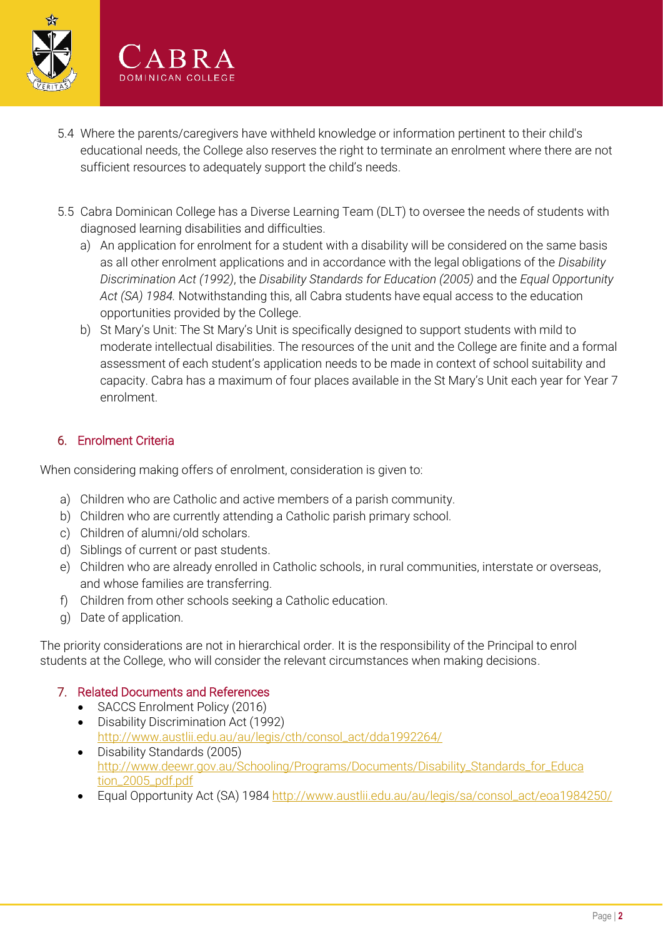

- 5.4 Where the parents/caregivers have withheld knowledge or information pertinent to their child's educational needs, the College also reserves the right to terminate an enrolment where there are not sufficient resources to adequately support the child's needs.
- 5.5 Cabra Dominican College has a Diverse Learning Team (DLT) to oversee the needs of students with diagnosed learning disabilities and difficulties.
	- a) An application for enrolment for a student with a disability will be considered on the same basis as all other enrolment applications and in accordance with the legal obligations of the *Disability Discrimination Act (1992)*, the *Disability Standards for Education (2005)* and the *Equal Opportunity Act (SA) 1984.* Notwithstanding this, all Cabra students have equal access to the education opportunities provided by the College.
	- b) St Mary's Unit: The St Mary's Unit is specifically designed to support students with mild to moderate intellectual disabilities. The resources of the unit and the College are finite and a formal assessment of each student's application needs to be made in context of school suitability and capacity. Cabra has a maximum of four places available in the St Mary's Unit each year for Year 7 enrolment.

## 6. Enrolment Criteria

When considering making offers of enrolment, consideration is given to:

- a) Children who are Catholic and active members of a parish community.
- b) Children who are currently attending a Catholic parish primary school.
- c) Children of alumni/old scholars.
- d) Siblings of current or past students.
- e) Children who are already enrolled in Catholic schools, in rural communities, interstate or overseas, and whose families are transferring.
- f) Children from other schools seeking a Catholic education.
- g) Date of application.

The priority considerations are not in hierarchical order. It is the responsibility of the Principal to enrol students at the College, who will consider the relevant circumstances when making decisions.

#### 7. Related Documents and References

- SACCS Enrolment Policy (2016)
- Disability Discrimination Act (1992) [http://www.austlii.edu.au/au/legis/cth/consol\\_act/dda1992264/](http://www.austlii.edu.au/au/legis/cth/consol_act/dda1992264/)
- Disability Standards (2005) [http://www.deewr.gov.au/Schooling/Programs/Documents/Disability\\_Standards\\_for\\_Educa](http://www.deewr.gov.au/Schooling/Programs/Documents/Disability_Standards_for_Education_2005_pdf.pdf) [tion\\_2005\\_pdf.pdf](http://www.deewr.gov.au/Schooling/Programs/Documents/Disability_Standards_for_Education_2005_pdf.pdf)
- Equal Opportunity Act (SA) 1984 [http://www.austlii.edu.au/au/legis/sa/consol\\_act/eoa1984250/](http://www.austlii.edu.au/au/legis/sa/consol_act/eoa1984250/)